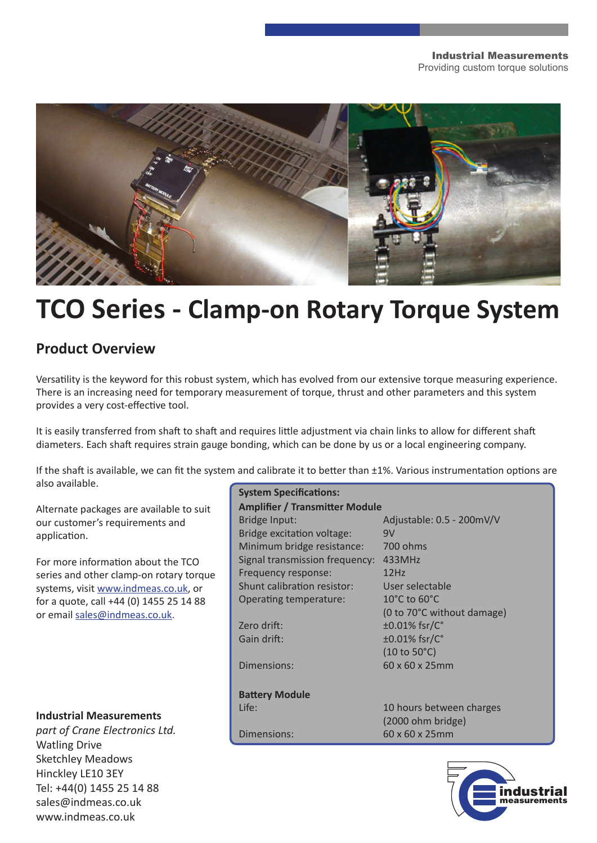

# **TCO Series - Clamp-on Rotary Torque System**

# **Product Overview**

Versatility is the keyword for this robust system, which has evolved from our extensive torque measuring experience. There is an increasing need for temporary measurement of torque, thrust and other parameters and this system provides a very cost-effective tool.

It is easily transferred from shaft to shaft and requires little adjustment via chain links to allow for different shaft diameters. Each shaft requires strain gauge bonding, which can be done by us or a local engineering company.

If the shaft is available, we can fit the system and calibrate it to better than ±1%. Various instrumentation options are also available.

Alternate packages are available to suit our customer's requirements and application.

For more information about the TCO series and other clamp-on rotary torque systems, visit www.indmeas.co.uk, or for a quote, call +44 (0) 1455 25 14 88 or email sales@indmeas.co.uk.

# **Industrial Measurements**

*part of Crane Electronics Ltd.* Watling Drive Sketchley Meadows Hinckley LE10 3EY Tel: +44(0) 1455 25 14 88 sales@indmeas.co.uk www.indmeas.co.uk

| <b>System Specifications:</b>          |  |
|----------------------------------------|--|
| <b>Amplifier / Transmitter Module</b>  |  |
| Adjustable: 0.5 - 200mV/V              |  |
| 9V                                     |  |
| 700 ohms                               |  |
| 433MHz                                 |  |
| 12Hz                                   |  |
| User selectable                        |  |
| 10 $^{\circ}$ C to 60 $^{\circ}$ C     |  |
| (0 to 70°C without damage)             |  |
| ±0.01% fsr/C°                          |  |
| $\pm 0.01\%$ fsr/C $^{\circ}$          |  |
| $(10 \text{ to } 50^{\circ} \text{C})$ |  |
| 60 x 60 x 25mm                         |  |
|                                        |  |
|                                        |  |
| 10 hours between charges               |  |
| (2000 ohm bridge)                      |  |
| 60 x 60 x 25mm                         |  |
|                                        |  |